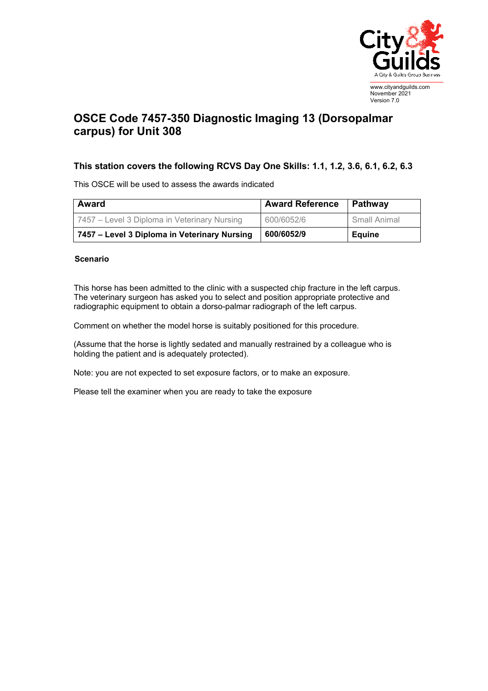

## **OSCE Code 7457-350 Diagnostic Imaging 13 (Dorsopalmar carpus) for Unit 308**

## **This station covers the following RCVS Day One Skills: 1.1, 1.2, 3.6, 6.1, 6.2, 6.3**

This OSCE will be used to assess the awards indicated

| <b>Award</b>                                 | <b>Award Reference</b> | Pathway       |
|----------------------------------------------|------------------------|---------------|
| 7457 – Level 3 Diploma in Veterinary Nursing | 600/6052/6             | Small Animal  |
| 7457 – Level 3 Diploma in Veterinary Nursing | 600/6052/9             | <b>Equine</b> |

## **Scenario**

This horse has been admitted to the clinic with a suspected chip fracture in the left carpus. The veterinary surgeon has asked you to select and position appropriate protective and radiographic equipment to obtain a dorso-palmar radiograph of the left carpus.

Comment on whether the model horse is suitably positioned for this procedure.

(Assume that the horse is lightly sedated and manually restrained by a colleague who is holding the patient and is adequately protected).

Note: you are not expected to set exposure factors, or to make an exposure.

Please tell the examiner when you are ready to take the exposure